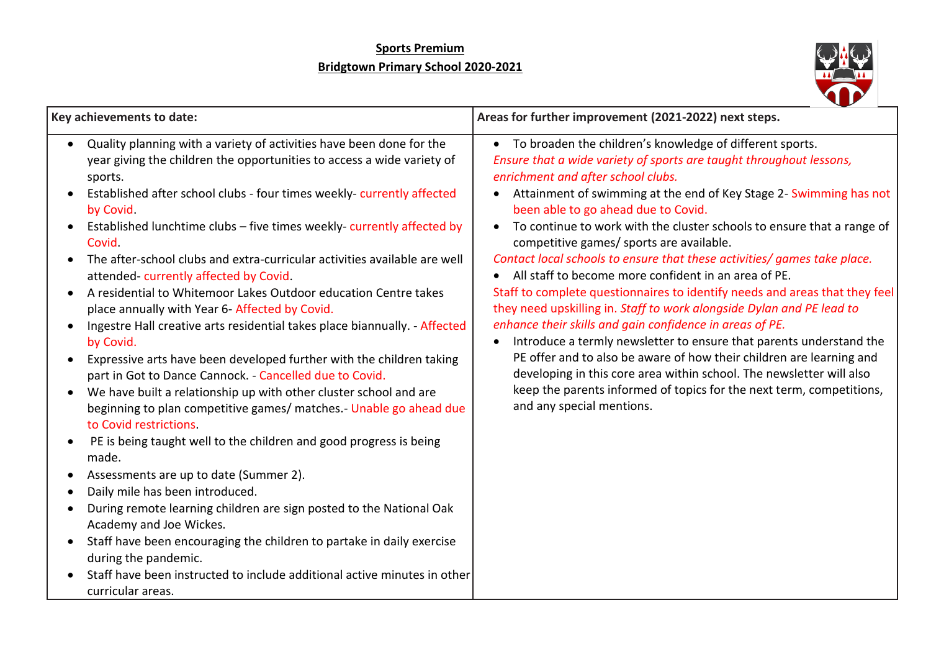## **Sports Premium Bridgtown Primary School 2020-2021**



| Key achievements to date:                                                                                                                                                                                                                                                                                                                                                                                                                                                                                                                                                                                                                                                                                                                                                                                                                                                                                                                                                                                                                                                                                                                                                                                                                                                                                                                                                                                                                                                                            | Areas for further improvement (2021-2022) next steps.                                                                                                                                                                                                                                                                                                                                                                                                                                                                                                                                                                                                                                                                                                                                                                                                                                                                                                                                                                                                                                          |
|------------------------------------------------------------------------------------------------------------------------------------------------------------------------------------------------------------------------------------------------------------------------------------------------------------------------------------------------------------------------------------------------------------------------------------------------------------------------------------------------------------------------------------------------------------------------------------------------------------------------------------------------------------------------------------------------------------------------------------------------------------------------------------------------------------------------------------------------------------------------------------------------------------------------------------------------------------------------------------------------------------------------------------------------------------------------------------------------------------------------------------------------------------------------------------------------------------------------------------------------------------------------------------------------------------------------------------------------------------------------------------------------------------------------------------------------------------------------------------------------------|------------------------------------------------------------------------------------------------------------------------------------------------------------------------------------------------------------------------------------------------------------------------------------------------------------------------------------------------------------------------------------------------------------------------------------------------------------------------------------------------------------------------------------------------------------------------------------------------------------------------------------------------------------------------------------------------------------------------------------------------------------------------------------------------------------------------------------------------------------------------------------------------------------------------------------------------------------------------------------------------------------------------------------------------------------------------------------------------|
| Quality planning with a variety of activities have been done for the<br>$\bullet$<br>year giving the children the opportunities to access a wide variety of<br>sports.<br>Established after school clubs - four times weekly-currently affected<br>by Covid.<br>Established lunchtime clubs - five times weekly-currently affected by<br>Covid.<br>The after-school clubs and extra-curricular activities available are well<br>attended-currently affected by Covid.<br>A residential to Whitemoor Lakes Outdoor education Centre takes<br>place annually with Year 6- Affected by Covid.<br>Ingestre Hall creative arts residential takes place biannually. - Affected<br>by Covid.<br>Expressive arts have been developed further with the children taking<br>part in Got to Dance Cannock. - Cancelled due to Covid.<br>We have built a relationship up with other cluster school and are<br>$\bullet$<br>beginning to plan competitive games/ matches.- Unable go ahead due<br>to Covid restrictions.<br>PE is being taught well to the children and good progress is being<br>made.<br>Assessments are up to date (Summer 2).<br>Daily mile has been introduced.<br>$\bullet$<br>During remote learning children are sign posted to the National Oak<br>$\bullet$<br>Academy and Joe Wickes.<br>Staff have been encouraging the children to partake in daily exercise<br>during the pandemic.<br>Staff have been instructed to include additional active minutes in other<br>curricular areas. | • To broaden the children's knowledge of different sports.<br>Ensure that a wide variety of sports are taught throughout lessons,<br>enrichment and after school clubs.<br>Attainment of swimming at the end of Key Stage 2- Swimming has not<br>been able to go ahead due to Covid.<br>To continue to work with the cluster schools to ensure that a range of<br>competitive games/ sports are available.<br>Contact local schools to ensure that these activities/ games take place.<br>All staff to become more confident in an area of PE.<br>Staff to complete questionnaires to identify needs and areas that they feel<br>they need upskilling in. Staff to work alongside Dylan and PE lead to<br>enhance their skills and gain confidence in areas of PE.<br>Introduce a termly newsletter to ensure that parents understand the<br>PE offer and to also be aware of how their children are learning and<br>developing in this core area within school. The newsletter will also<br>keep the parents informed of topics for the next term, competitions,<br>and any special mentions. |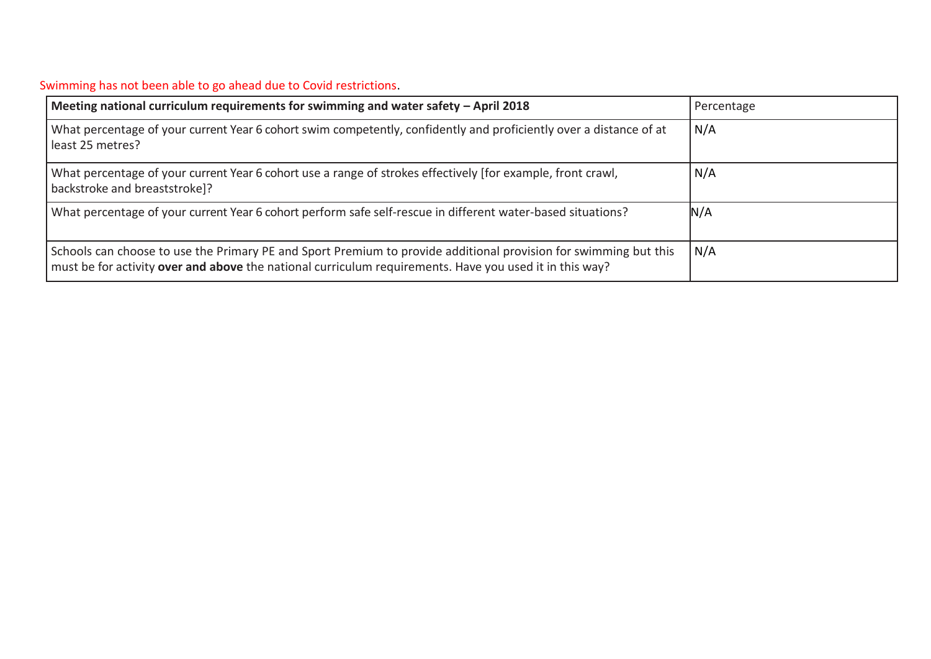| Meeting national curriculum requirements for swimming and water safety $-$ April 2018                                                                                                                                       | Percentage |
|-----------------------------------------------------------------------------------------------------------------------------------------------------------------------------------------------------------------------------|------------|
| What percentage of your current Year 6 cohort swim competently, confidently and proficiently over a distance of at<br>least 25 metres?                                                                                      | N/A        |
| What percentage of your current Year 6 cohort use a range of strokes effectively [for example, front crawl,<br>backstroke and breaststroke]?                                                                                | N/A        |
| What percentage of your current Year 6 cohort perform safe self-rescue in different water-based situations?                                                                                                                 | N/A        |
| Schools can choose to use the Primary PE and Sport Premium to provide additional provision for swimming but this<br>must be for activity over and above the national curriculum requirements. Have you used it in this way? | N/A        |

## Swimming has not been able to go ahead due to Covid restrictions.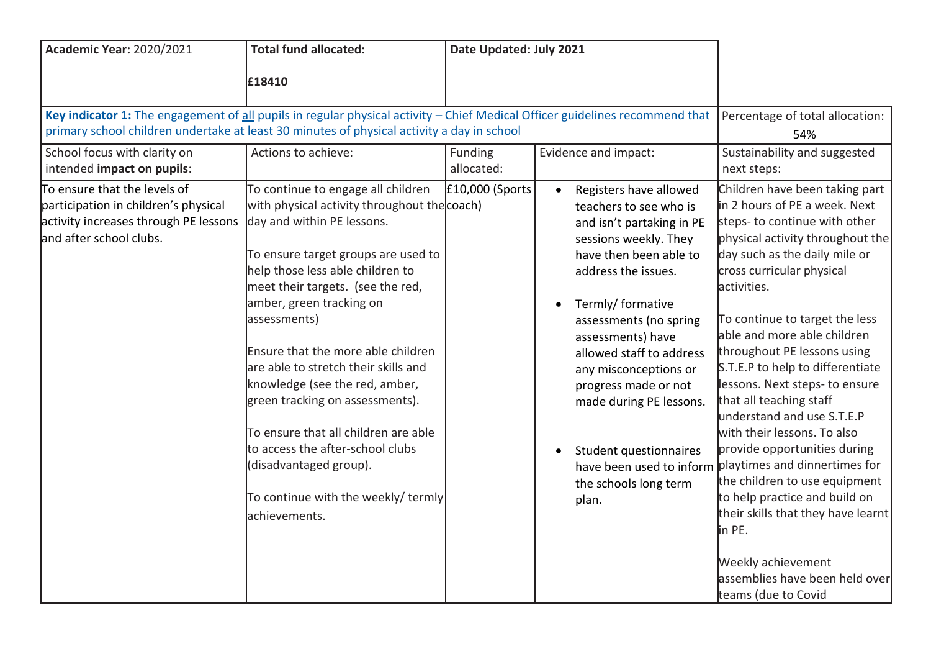| <b>Academic Year: 2020/2021</b>                                                                                                          | <b>Total fund allocated:</b>                                                                                                                                                                                                                                                                                                                                                                                                                                                                                                                                                                  | Date Updated: July 2021 |                                                                                                                                                                                                                                                                                                                                                                                                                                                       |                                                                                                                                                                                                                                                                                                                                                                                                                                                                                                                                                                                                                                                                                                                                                   |
|------------------------------------------------------------------------------------------------------------------------------------------|-----------------------------------------------------------------------------------------------------------------------------------------------------------------------------------------------------------------------------------------------------------------------------------------------------------------------------------------------------------------------------------------------------------------------------------------------------------------------------------------------------------------------------------------------------------------------------------------------|-------------------------|-------------------------------------------------------------------------------------------------------------------------------------------------------------------------------------------------------------------------------------------------------------------------------------------------------------------------------------------------------------------------------------------------------------------------------------------------------|---------------------------------------------------------------------------------------------------------------------------------------------------------------------------------------------------------------------------------------------------------------------------------------------------------------------------------------------------------------------------------------------------------------------------------------------------------------------------------------------------------------------------------------------------------------------------------------------------------------------------------------------------------------------------------------------------------------------------------------------------|
|                                                                                                                                          | £18410                                                                                                                                                                                                                                                                                                                                                                                                                                                                                                                                                                                        |                         |                                                                                                                                                                                                                                                                                                                                                                                                                                                       |                                                                                                                                                                                                                                                                                                                                                                                                                                                                                                                                                                                                                                                                                                                                                   |
|                                                                                                                                          | Key indicator 1: The engagement of all pupils in regular physical activity - Chief Medical Officer guidelines recommend that                                                                                                                                                                                                                                                                                                                                                                                                                                                                  |                         |                                                                                                                                                                                                                                                                                                                                                                                                                                                       | Percentage of total allocation:                                                                                                                                                                                                                                                                                                                                                                                                                                                                                                                                                                                                                                                                                                                   |
|                                                                                                                                          | primary school children undertake at least 30 minutes of physical activity a day in school                                                                                                                                                                                                                                                                                                                                                                                                                                                                                                    |                         |                                                                                                                                                                                                                                                                                                                                                                                                                                                       | 54%                                                                                                                                                                                                                                                                                                                                                                                                                                                                                                                                                                                                                                                                                                                                               |
| School focus with clarity on<br>intended impact on pupils:                                                                               | Actions to achieve:                                                                                                                                                                                                                                                                                                                                                                                                                                                                                                                                                                           | Funding<br>allocated:   | Evidence and impact:                                                                                                                                                                                                                                                                                                                                                                                                                                  | Sustainability and suggested<br>next steps:                                                                                                                                                                                                                                                                                                                                                                                                                                                                                                                                                                                                                                                                                                       |
| To ensure that the levels of<br>participation in children's physical<br>activity increases through PE lessons<br>and after school clubs. | To continue to engage all children<br>with physical activity throughout the coach)<br>day and within PE lessons.<br>To ensure target groups are used to<br>help those less able children to<br>meet their targets. (see the red,<br>amber, green tracking on<br>assessments)<br>Ensure that the more able children<br>are able to stretch their skills and<br>knowledge (see the red, amber,<br>green tracking on assessments).<br>To ensure that all children are able<br>to access the after-school clubs<br>(disadvantaged group).<br>To continue with the weekly/ termly<br>achievements. | £10,000 (Sports         | Registers have allowed<br>teachers to see who is<br>and isn't partaking in PE<br>sessions weekly. They<br>have then been able to<br>address the issues.<br>Termly/ formative<br>$\bullet$<br>assessments (no spring<br>assessments) have<br>allowed staff to address<br>any misconceptions or<br>progress made or not<br>made during PE lessons.<br>Student questionnaires<br>$\bullet$<br>have been used to inform<br>the schools long term<br>plan. | Children have been taking part<br>in 2 hours of PE a week. Next<br>steps- to continue with other<br>physical activity throughout the<br>day such as the daily mile or<br>cross curricular physical<br>activities.<br>To continue to target the less<br>able and more able children<br>throughout PE lessons using<br>S.T.E.P to help to differentiate<br>lessons. Next steps- to ensure<br>that all teaching staff<br>understand and use S.T.E.P<br>with their lessons. To also<br>provide opportunities during<br>playtimes and dinnertimes for<br>the children to use equipment<br>to help practice and build on<br>their skills that they have learnt<br>in PE.<br>Weekly achievement<br>assemblies have been held over<br>teams (due to Covid |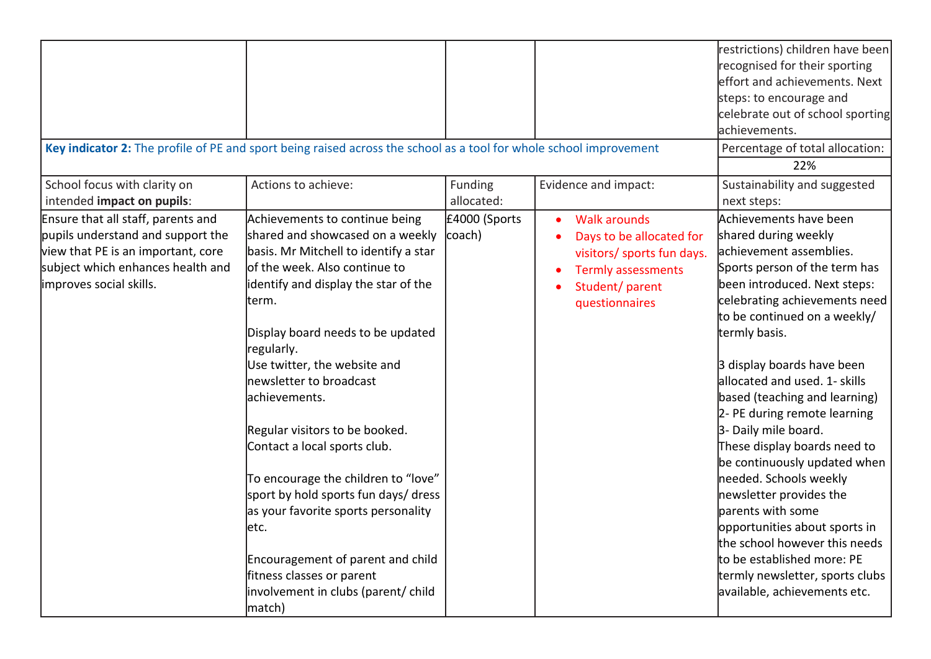|                                                                                                                                                                               | Key indicator 2: The profile of PE and sport being raised across the school as a tool for whole school improvement                                                                                                                                                                                                                                                                                                                                                                                                                                                                                                                                 |                         |                                                                                                                                                | restrictions) children have been<br>recognised for their sporting<br>effort and achievements. Next<br>steps: to encourage and<br>celebrate out of school sporting<br>achievements.<br>Percentage of total allocation:<br>22%                                                                                                                                                                                                                                                                                                                                                                                                                                                                      |
|-------------------------------------------------------------------------------------------------------------------------------------------------------------------------------|----------------------------------------------------------------------------------------------------------------------------------------------------------------------------------------------------------------------------------------------------------------------------------------------------------------------------------------------------------------------------------------------------------------------------------------------------------------------------------------------------------------------------------------------------------------------------------------------------------------------------------------------------|-------------------------|------------------------------------------------------------------------------------------------------------------------------------------------|---------------------------------------------------------------------------------------------------------------------------------------------------------------------------------------------------------------------------------------------------------------------------------------------------------------------------------------------------------------------------------------------------------------------------------------------------------------------------------------------------------------------------------------------------------------------------------------------------------------------------------------------------------------------------------------------------|
| School focus with clarity on<br>intended impact on pupils:                                                                                                                    | Actions to achieve:                                                                                                                                                                                                                                                                                                                                                                                                                                                                                                                                                                                                                                | Funding<br>allocated:   | Evidence and impact:                                                                                                                           | Sustainability and suggested<br>next steps:                                                                                                                                                                                                                                                                                                                                                                                                                                                                                                                                                                                                                                                       |
| Ensure that all staff, parents and<br>pupils understand and support the<br>view that PE is an important, core<br>subject which enhances health and<br>improves social skills. | Achievements to continue being<br>shared and showcased on a weekly<br>basis. Mr Mitchell to identify a star<br>of the week. Also continue to<br>identify and display the star of the<br>lterm.<br>Display board needs to be updated<br>regularly.<br>Use twitter, the website and<br>Inewsletter to broadcast<br>achievements.<br>Regular visitors to be booked.<br>Contact a local sports club.<br>To encourage the children to "love"<br>sport by hold sports fun days/ dress<br>as your favorite sports personality<br>letc.<br>Encouragement of parent and child<br>fitness classes or parent<br>involvement in clubs (parent/ child<br>match) | £4000 (Sports<br>coach) | <b>Walk arounds</b><br>Days to be allocated for<br>visitors/ sports fun days.<br><b>Termly assessments</b><br>Student/parent<br>questionnaires | Achievements have been<br>shared during weekly<br>achievement assemblies.<br>Sports person of the term has<br>been introduced. Next steps:<br>celebrating achievements need<br>to be continued on a weekly/<br>termly basis.<br>3 display boards have been<br>allocated and used. 1- skills<br>based (teaching and learning)<br>2- PE during remote learning<br>3- Daily mile board.<br>These display boards need to<br>be continuously updated when<br>needed. Schools weekly<br>newsletter provides the<br>barents with some<br>opportunities about sports in<br>the school however this needs<br>to be established more: PE<br>termly newsletter, sports clubs<br>available, achievements etc. |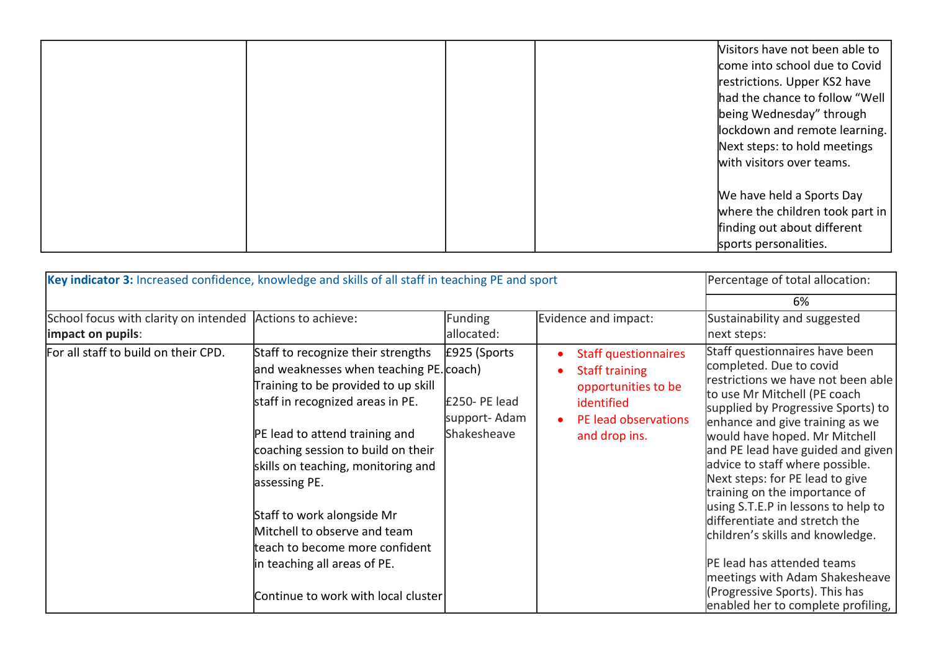|  | Visitors have not been able to<br>come into school due to Covid<br>restrictions. Upper KS2 have<br>had the chance to follow "Well<br>being Wednesday" through<br>lockdown and remote learning.<br>Next steps: to hold meetings<br>with visitors over teams. |
|--|-------------------------------------------------------------------------------------------------------------------------------------------------------------------------------------------------------------------------------------------------------------|
|  | We have held a Sports Day<br>where the children took part in<br>finding out about different<br>sports personalities.                                                                                                                                        |

| Key indicator 3: Increased confidence, knowledge and skills of all staff in teaching PE and sport |                                                                                                                                                                                                                                                                                                                                                                                                                                                                |                                                              |                                                                                                                                    | Percentage of total allocation:                                                                                                                                                                                                                                                                                                                                                                                                                                                                                                                                                                                                           |
|---------------------------------------------------------------------------------------------------|----------------------------------------------------------------------------------------------------------------------------------------------------------------------------------------------------------------------------------------------------------------------------------------------------------------------------------------------------------------------------------------------------------------------------------------------------------------|--------------------------------------------------------------|------------------------------------------------------------------------------------------------------------------------------------|-------------------------------------------------------------------------------------------------------------------------------------------------------------------------------------------------------------------------------------------------------------------------------------------------------------------------------------------------------------------------------------------------------------------------------------------------------------------------------------------------------------------------------------------------------------------------------------------------------------------------------------------|
|                                                                                                   |                                                                                                                                                                                                                                                                                                                                                                                                                                                                |                                                              |                                                                                                                                    | 6%                                                                                                                                                                                                                                                                                                                                                                                                                                                                                                                                                                                                                                        |
| School focus with clarity on intended<br>impact on pupils:                                        | Actions to achieve:                                                                                                                                                                                                                                                                                                                                                                                                                                            | Funding<br>allocated:                                        | Evidence and impact:                                                                                                               | Sustainability and suggested<br>next steps:                                                                                                                                                                                                                                                                                                                                                                                                                                                                                                                                                                                               |
| For all staff to build on their CPD.                                                              | Staff to recognize their strengths<br>and weaknesses when teaching PE. coach)<br>Training to be provided to up skill<br>staff in recognized areas in PE.<br>PE lead to attend training and<br>coaching session to build on their<br>skills on teaching, monitoring and<br>assessing PE.<br>Staff to work alongside Mr<br>Mitchell to observe and team<br>teach to become more confident<br>in teaching all areas of PE.<br>Continue to work with local cluster | £925 (Sports<br>£250- PE lead<br>support-Adam<br>Shakesheave | <b>Staff questionnaires</b><br><b>Staff training</b><br>opportunities to be<br>identified<br>PE lead observations<br>and drop ins. | Staff questionnaires have been<br>completed. Due to covid<br>restrictions we have not been able<br>to use Mr Mitchell (PE coach<br>supplied by Progressive Sports) to<br>enhance and give training as we<br>would have hoped. Mr Mitchell<br>and PE lead have guided and given<br>advice to staff where possible.<br>Next steps: for PE lead to give<br>training on the importance of<br>using S.T.E.P in lessons to help to<br>differentiate and stretch the<br>children's skills and knowledge.<br>PE lead has attended teams<br>meetings with Adam Shakesheave<br>(Progressive Sports). This has<br>enabled her to complete profiling, |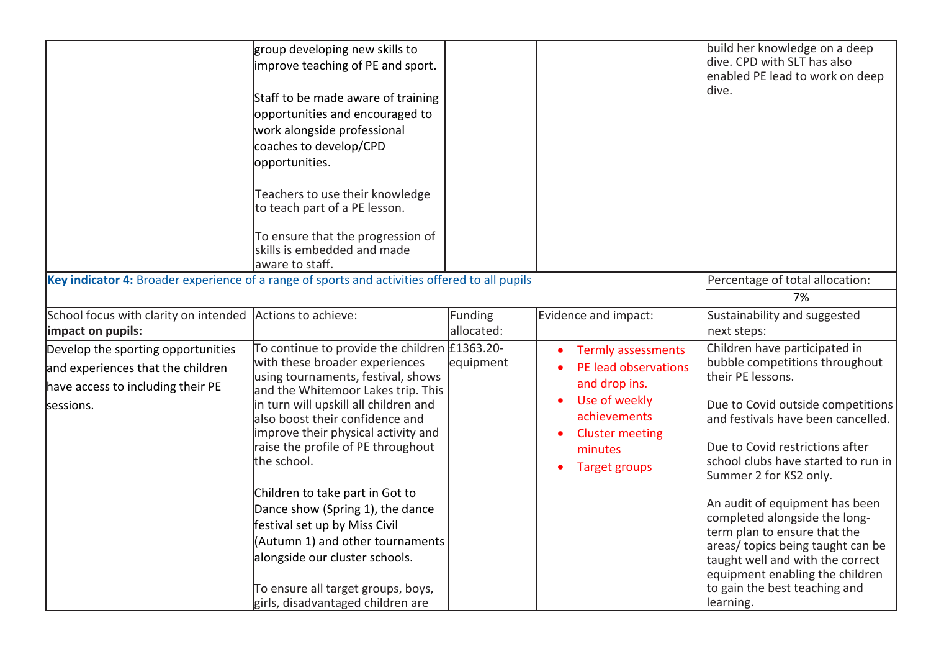|                                                                                                                           | group developing new skills to<br>improve teaching of PE and sport.<br>Staff to be made aware of training<br>opportunities and encouraged to<br>work alongside professional<br>coaches to develop/CPD<br>opportunities.<br>Teachers to use their knowledge<br>to teach part of a PE lesson.<br>To ensure that the progression of<br>skills is embedded and made<br>aware to staff.                                                                                                                                 |                       |                                                                                                                                                                  | build her knowledge on a deep<br>dive. CPD with SLT has also<br>enabled PE lead to work on deep<br>dive.                                                                                                                                                                                                                                                                                                                                                                            |
|---------------------------------------------------------------------------------------------------------------------------|--------------------------------------------------------------------------------------------------------------------------------------------------------------------------------------------------------------------------------------------------------------------------------------------------------------------------------------------------------------------------------------------------------------------------------------------------------------------------------------------------------------------|-----------------------|------------------------------------------------------------------------------------------------------------------------------------------------------------------|-------------------------------------------------------------------------------------------------------------------------------------------------------------------------------------------------------------------------------------------------------------------------------------------------------------------------------------------------------------------------------------------------------------------------------------------------------------------------------------|
| Key indicator 4: Broader experience of a range of sports and activities offered to all pupils                             |                                                                                                                                                                                                                                                                                                                                                                                                                                                                                                                    |                       |                                                                                                                                                                  | Percentage of total allocation:                                                                                                                                                                                                                                                                                                                                                                                                                                                     |
|                                                                                                                           |                                                                                                                                                                                                                                                                                                                                                                                                                                                                                                                    |                       |                                                                                                                                                                  | 7%                                                                                                                                                                                                                                                                                                                                                                                                                                                                                  |
| School focus with clarity on intended<br>impact on pupils:                                                                | Actions to achieve:                                                                                                                                                                                                                                                                                                                                                                                                                                                                                                | Funding<br>allocated: | Evidence and impact:                                                                                                                                             | Sustainability and suggested<br>next steps:                                                                                                                                                                                                                                                                                                                                                                                                                                         |
| Develop the sporting opportunities<br>and experiences that the children<br>have access to including their PE<br>sessions. | To continue to provide the children £1363.20-<br>with these broader experiences<br>using tournaments, festival, shows<br>and the Whitemoor Lakes trip. This<br>in turn will upskill all children and<br>lalso boost their confidence and<br>improve their physical activity and<br>raise the profile of PE throughout<br>the school.<br>Children to take part in Got to<br>Dance show (Spring 1), the dance<br>festival set up by Miss Civil<br>(Autumn 1) and other tournaments<br>alongside our cluster schools. | equipment             | <b>Termly assessments</b><br>PE lead observations<br>and drop ins.<br>Use of weekly<br>achievements<br><b>Cluster meeting</b><br>minutes<br><b>Target groups</b> | Children have participated in<br>bubble competitions throughout<br>their PE lessons.<br>Due to Covid outside competitions<br>land festivals have been cancelled.<br>Due to Covid restrictions after<br>school clubs have started to run in<br>Summer 2 for KS2 only.<br>An audit of equipment has been<br>completed alongside the long-<br>term plan to ensure that the<br>areas/ topics being taught can be<br>taught well and with the correct<br>equipment enabling the children |
|                                                                                                                           | To ensure all target groups, boys,<br>girls, disadvantaged children are                                                                                                                                                                                                                                                                                                                                                                                                                                            |                       |                                                                                                                                                                  | to gain the best teaching and<br>learning.                                                                                                                                                                                                                                                                                                                                                                                                                                          |